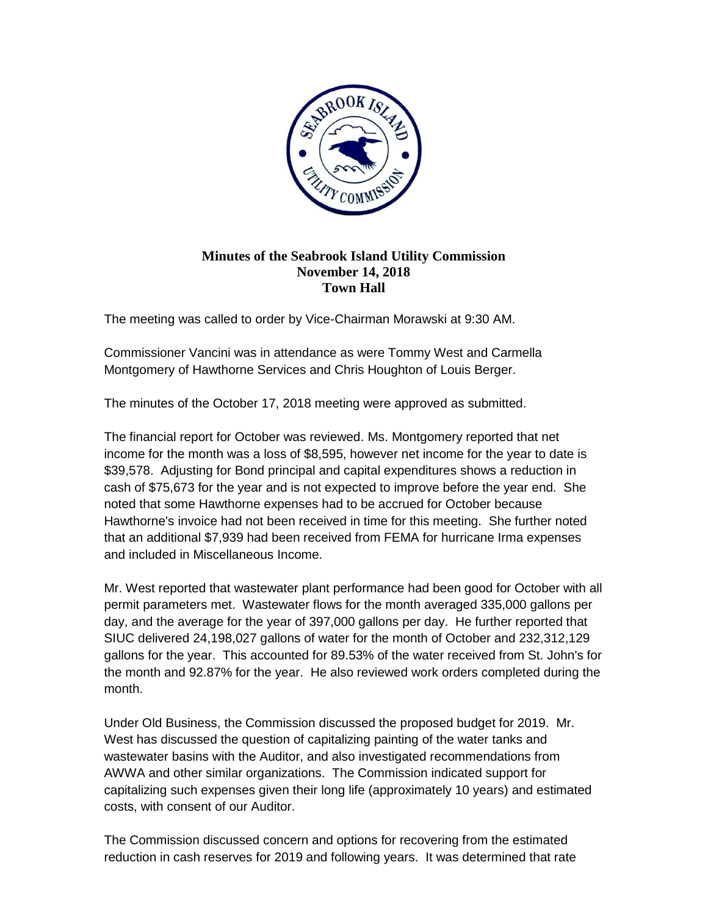

## **Minutes of the Seabrook Island Utility Commission November 14, 2018 Town Hall**

The meeting was called to order by Vice-Chairman Morawski at 9:30 AM.

Commissioner Vancini was in attendance as were Tommy West and Carmella Montgomery of Hawthorne Services and Chris Houghton of Louis Berger.

The minutes of the October 17, 2018 meeting were approved as submitted.

The financial report for October was reviewed. Ms. Montgomery reported that net income for the month was a loss of \$8,595, however net income for the year to date is \$39,578. Adjusting for Bond principal and capital expenditures shows a reduction in cash of \$75,673 for the year and is not expected to improve before the year end. She noted that some Hawthorne expenses had to be accrued for October because Hawthorne's invoice had not been received in time for this meeting. She further noted that an additional \$7,939 had been received from FEMA for hurricane Irma expenses and included in Miscellaneous Income.

Mr. West reported that wastewater plant performance had been good for October with all permit parameters met. Wastewater flows for the month averaged 335,000 gallons per day, and the average for the year of 397,000 gallons per day. He further reported that SIUC delivered 24,198,027 gallons of water for the month of October and 232,312,129 gallons for the year. This accounted for 89.53% of the water received from St. John's for the month and 92.87% for the year. He also reviewed work orders completed during the month.

Under Old Business, the Commission discussed the proposed budget for 2019. Mr. West has discussed the question of capitalizing painting of the water tanks and wastewater basins with the Auditor, and also investigated recommendations from AWWA and other similar organizations. The Commission indicated support for capitalizing such expenses given their long life (approximately 10 years) and estimated costs, with consent of our Auditor.

The Commission discussed concern and options for recovering from the estimated reduction in cash reserves for 2019 and following years. It was determined that rate